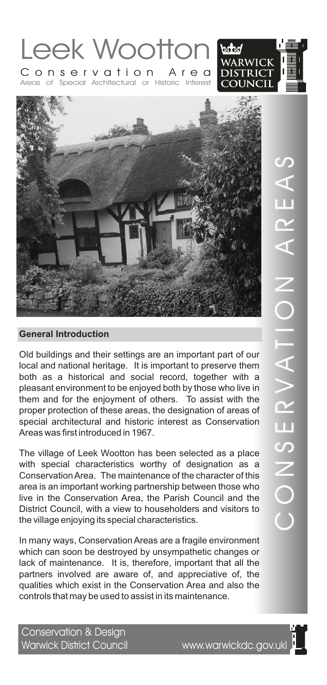



Old buildings and their settings are an important part of our local and national heritage. It is important to preserve them both as a historical and social record, together with a pleasant environment to be enjoyed both by those who live in them and for the enjoyment of others. To assist with the proper protection of these areas, the designation of areas of special architectural and historic interest as Conservation Areas was first introduced in 1967.

The village of Leek Wootton has been selected as a place with special characteristics worthy of designation as a Conservation Area. The maintenance of the character of this area is an important working partnership between those who live in the Conservation Area, the Parish Council and the District Council, with a view to householders and visitors to the village enjoying its special characteristics.

In many ways, Conservation Areas are a fragile environment which can soon be destroyed by unsympathetic changes or lack of maintenance. It is, therefore, important that all the partners involved are aware of, and appreciative of, the qualities which exist in the Conservation Area and also the controls that may be used to assist in its maintenance.

Conservation & Design Warwick District Council www.warwickdc.gov.ukl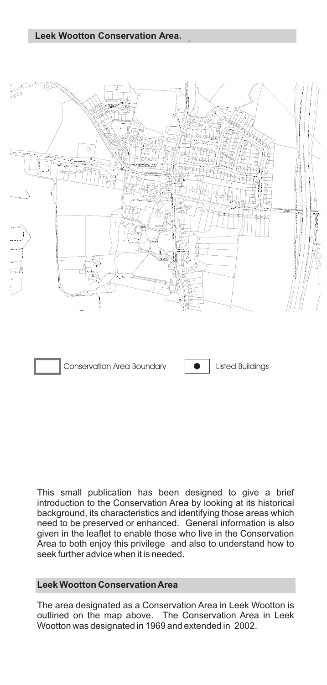# **Leek Wootton Conservation Area.**



Conservation Area Boundary **Conservation Area Boundary Conservation** 

This small publication has been designed to give a brief introduction to the Conservation Area by looking at its historical background, its characteristics and identifying those areas which need to be preserved or enhanced. General information is also given in the leaflet to enable those who live in the Conservation Area to both enjoy this privilege and also to understand how to seek further advice when it is needed.

#### **Leek Wootton Conservation Area**

The area designated as a Conservation Area in Leek Wootton is outlined on the map above. The Conservation Area in Leek Wootton was designated in 1969 and extended in 2002.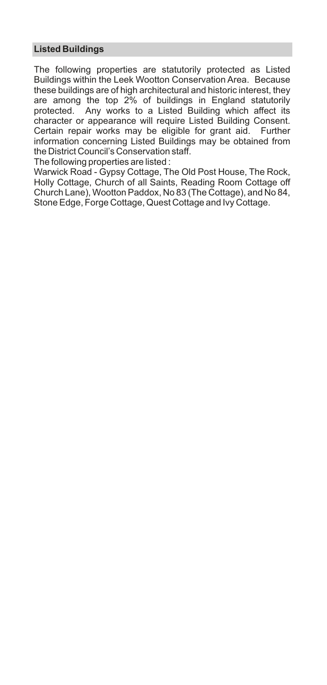# **Listed Buildings**

The following properties are statutorily protected as Listed Buildings within the Leek Wootton Conservation Area. Because these buildings are of high architectural and historic interest, they are among the top 2% of buildings in England statutorily protected. Any works to a Listed Building which affect its character or appearance will require Listed Building Consent. Certain repair works may be eligible for grant aid. Further information concerning Listed Buildings may be obtained from the District Council's Conservation staff.

The following properties are listed :

Warwick Road - Gypsy Cottage, The Old Post House, The Rock, Holly Cottage, Church of all Saints, Reading Room Cottage off Church Lane), Wootton Paddox, No 83 (The Cottage), and No 84, Stone Edge, Forge Cottage, Quest Cottage and Ivy Cottage.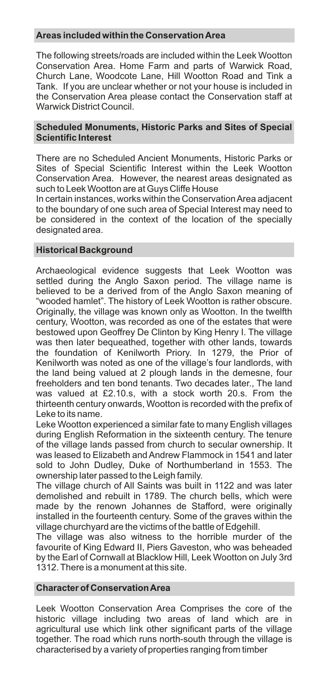# **Areas included within the Conservation Area**

The following streets/roads are included within the Leek Wootton Conservation Area. Home Farm and parts of Warwick Road, Church Lane, Woodcote Lane, Hill Wootton Road and Tink a Tank. If you are unclear whether or not your house is included in the Conservation Area please contact the Conservation staff at Warwick District Council.

#### **Scheduled Monuments, Historic Parks and Sites of Special Scientific Interest**

There are no Scheduled Ancient Monuments, Historic Parks or Sites of Special Scientific Interest within the Leek Wootton Conservation Area. However, the nearest areas designated as such to Leek Wootton are at Guys Cliffe House

In certain instances, works within the Conservation Area adjacent to the boundary of one such area of Special Interest may need to be considered in the context of the location of the specially designated area.

# **Historical Background**

Archaeological evidence suggests that Leek Wootton was settled during the Anglo Saxon period. The village name is believed to be a derived from of the Anglo Saxon meaning of "wooded hamlet". The history of Leek Wootton is rather obscure. Originally, the village was known only as Wootton. In the twelfth century, Wootton, was recorded as one of the estates that were bestowed upon Geoffrey De Clinton by King Henry I. The village was then later bequeathed, together with other lands, towards the foundation of Kenilworth Priory. In 1279, the Prior of Kenilworth was noted as one of the village's four landlords, with the land being valued at 2 plough lands in the demesne, four freeholders and ten bond tenants. Two decades later., The land was valued at £2.10.s, with a stock worth 20.s. From the thirteenth century onwards, Wootton is recorded with the prefix of Leke to its name.

Leke Wootton experienced a similar fate to many English villages during English Reformation in the sixteenth century. The tenure of the village lands passed from church to secular ownership. It was leased to Elizabeth and Andrew Flammock in 1541 and later sold to John Dudley, Duke of Northumberland in 1553. The ownership later passed to the Leigh family.

The village church of All Saints was built in 1122 and was later demolished and rebuilt in 1789. The church bells, which were made by the renown Johannes de Stafford, were originally installed in the fourteenth century. Some of the graves within the village churchyard are the victims of the battle of Edgehill.

The village was also witness to the horrible murder of the favourite of King Edward II, Piers Gaveston, who was beheaded by the Earl of Cornwall at Blacklow Hill, Leek Wootton on July 3rd 1312. There is a monument at this site.

#### **Character of Conservation Area**

Leek Wootton Conservation Area Comprises the core of the historic village including two areas of land which are in agricultural use which link other significant parts of the village together. The road which runs north-south through the village is characterised by a variety of properties ranging from timber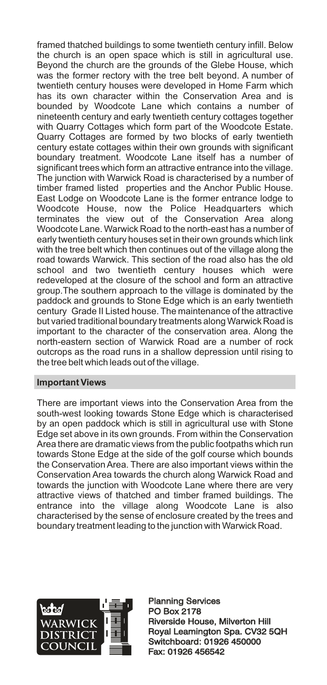framed thatched buildings to some twentieth century infill. Below the church is an open space which is still in agricultural use. Beyond the church are the grounds of the Glebe House, which was the former rectory with the tree belt beyond. A number of twentieth century houses were developed in Home Farm which has its own character within the Conservation Area and is bounded by Woodcote Lane which contains a number of nineteenth century and early twentieth century cottages together with Quarry Cottages which form part of the Woodcote Estate. Quarry Cottages are formed by two blocks of early twentieth century estate cottages within their own grounds with significant boundary treatment. Woodcote Lane itself has a number of significant trees which form an attractive entrance into the village. The junction with Warwick Road is characterised by a number of timber framed listed properties and the Anchor Public House. East Lodge on Woodcote Lane is the former entrance lodge to Woodcote House, now the Police Headquarters which terminates the view out of the Conservation Area along Woodcote Lane. Warwick Road to the north-east has a number of early twentieth century houses set in their own grounds which link with the tree belt which then continues out of the village along the road towards Warwick. This section of the road also has the old school and two twentieth century houses which were redeveloped at the closure of the school and form an attractive group.The southern approach to the village is dominated by the paddock and grounds to Stone Edge which is an early twentieth century Grade II Listed house. The maintenance of the attractive but varied traditional boundary treatments along Warwick Road is important to the character of the conservation area. Along the north-eastern section of Warwick Road are a number of rock outcrops as the road runs in a shallow depression until rising to the tree belt which leads out of the village.

# **Important Views**

There are important views into the Conservation Area from the south-west looking towards Stone Edge which is characterised by an open paddock which is still in agricultural use with Stone Edge set above in its own grounds. From within the Conservation Area there are dramatic views from the public footpaths which run towards Stone Edge at the side of the golf course which bounds the Conservation Area. There are also important views within the Conservation Area towards the church along Warwick Road and towards the junction with Woodcote Lane where there are very attractive views of thatched and timber framed buildings. The entrance into the village along Woodcote Lane is also characterised by the sense of enclosure created by the trees and boundary treatment leading to the junction with Warwick Road.



Planning Services PO Box 2178 Planning Services<br>PO Box 2178<br>Riverside House, Milverton Hill Royal Leamington Spa. CV32 5QH Switchboard: 01926 450000 Fax: 01926 456542 Royal Leamington Spa. CV32<br>Switchboard: 01926 450000<br>Fax: 01926 456542